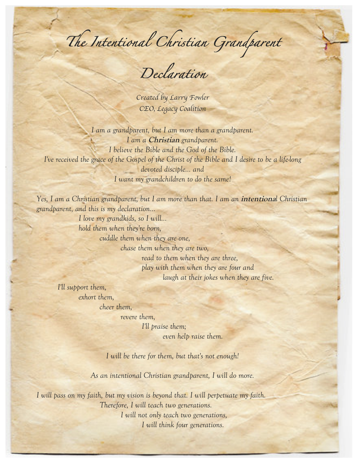*The Intentional Christian Grandparent* 

*Declaration* 

*Created by Larry Fowler CEO, Legacy Coalition*

*I am a grandparent, but I am more than a grandparent. I am a* **Christian** *grandparent. I believe the Bible and the God of the Bible. I've received the grace of the Gospel of the Christ of the Bible and I desire to be a life-long devoted disciple… and I want my grandchildren to do the same!*

*Yes, I am a Christian grandparent, but I am more than that. I am an intentional Christian grandparent, and this is my declaration…*

> *I love my grandkids, so I will… hold them when they're born, cuddle them when they are one, chase them when they are two, read to them when they are three, play with them when they are four and*

*laugh at their jokes when they are five.* 

*I'll support them, exhort them, cheer them,*

*revere them,*

*I'll praise them; even help raise them.* 

*I will be there for them, but that's not enough!*

*As an intentional Christian grandparent, I will do more.*

*I will pass on my faith, but my vision is beyond that. I will perpetuate my faith. Therefore, I will teach two generations. I will not only teach two generations, I will think four generations.*